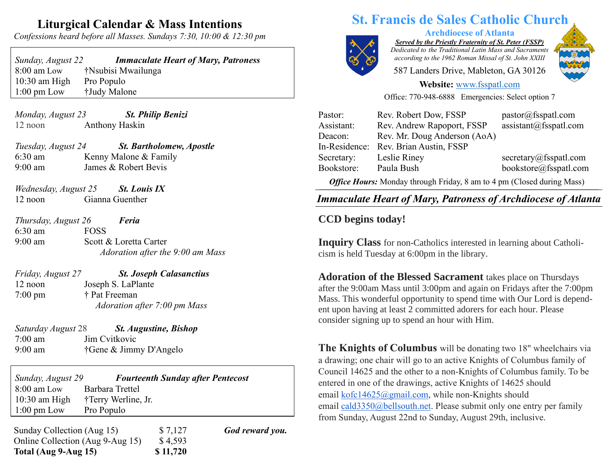## **Liturgical Calendar & Mass Intentions**

*Confessions heard before all Masses. Sundays 7:30, 10:00 & 12:30 pm*

| Sunday, August 22     | <b>Immaculate Heart of Mary, Patroness</b> |
|-----------------------|--------------------------------------------|
| $8:00$ am Low         | †Nsubisi Mwailunga                         |
| $10:30$ am High       | Pro Populo                                 |
| $1:00 \text{ pm}$ Low | †Judy Malone                               |

*Monday, August 23 St. Philip Benizi* 12 noon Anthony Haskin

*Tuesday, August 24 St. Bartholomew, Apostle* 6:30 am Kenny Malone & Family 9:00 am James & Robert Bevis

*Wednesday, August 25 St. Louis IX* 12 noon Gianna Guenther

*Thursday, August 26 Feria* 6:30 am FOSS 9:00 am Scott & Loretta Carter  *Adoration after the 9:00 am Mass*

| Friday, August 27 | <b>St. Joseph Calasanctius</b>      |
|-------------------|-------------------------------------|
| 12 noon           | Joseph S. LaPlante                  |
| 7:00 pm           | † Pat Freeman                       |
|                   | <i>Adoration after 7:00 pm Mass</i> |

*Saturday August* 28 *St. Augustine, Bishop* 7:00 am Jim Cvitkovic 9:00 am †Gene & Jimmy D'Angelo

*Sunday, August 29 Fourteenth Sunday after Pentecost* 8:00 am Low Barbara Trettel 10:30 am High †Terry Werline, Jr. 1:00 pm Low Pro Populo

Sunday Collection (Aug 15) \$7,127 **God reward you.** Online Collection (Aug 9-Aug 15) \$4,593 **Total (Aug 9-Aug 15) \$ 11,720**

# **St. Francis de Sales Catholic Church**



**Archdiocese of Atlanta**

*Served by the Priestly Fraternity of St. Peter (FSSP) Dedicated to the Traditional Latin Mass and Sacraments according to the 1962 Roman Missal of St. John XXIII*

587 Landers Drive, Mableton, GA 30126



**Website:** [www.fsspatl.com](http://www.fsspatl.com/)

Office: 770-948-6888 Emergencies: Select option 7

| Pastor:                                                                | Rev. Robert Dow, FSSP        | pastor@fsspath.com     |  |
|------------------------------------------------------------------------|------------------------------|------------------------|--|
| Assistant:                                                             | Rev. Andrew Rapoport, FSSP   | assignment@fsspath.com |  |
| Deacon:                                                                | Rev. Mr. Doug Anderson (AoA) |                        |  |
| In-Residence:                                                          | Rev. Brian Austin, FSSP      |                        |  |
| Secretary:                                                             | Leslie Riney                 | secretary@fsspatl.com  |  |
| Bookstore:                                                             | Paula Bush                   | bookstore@fsspatl.com  |  |
| Office Hours: Monday through Friday, 8 am to 4 pm (Closed during Mass) |                              |                        |  |

 $\overline{\phantom{a}}$ *Immaculate Heart of Mary, Patroness of Archdiocese of Atlanta IMMUCURIE HEUIT OF MUTY, I UITONESS OF ATCHUIOCESE OF ARRIVIE* 

### **CCD begins today!**

**Inquiry Class** for non-Catholics interested in learning about Catholicism is held Tuesday at 6:00pm in the library.

**Adoration of the Blessed Sacrament** takes place on Thursdays after the 9:00am Mass until 3:00pm and again on Fridays after the 7:00pm Mass. This wonderful opportunity to spend time with Our Lord is dependent upon having at least 2 committed adorers for each hour. Please consider signing up to spend an hour with Him.

**The Knights of Columbus** will be donating two 18" wheelchairs via a drawing; one chair will go to an active Knights of Columbus family of Council 14625 and the other to a non-Knights of Columbus family. To be entered in one of the drawings, active Knights of 14625 should email [kofc14625@gmail.com,](mailto:kofc14625@gmail.com) while non-Knights should email [cald3350@bellsouth.net.](mailto:cald3350@bellsouth.net) Please submit only one entry per family from Sunday, August 22nd to Sunday, August 29th, inclusive.